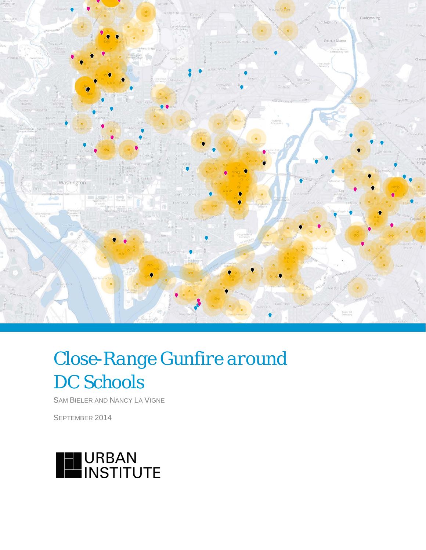

# *Close-Range Gunfire around DC Schools*

SAM BIELER AND NANCY LA VIGNE

SEPTEMBER 2014

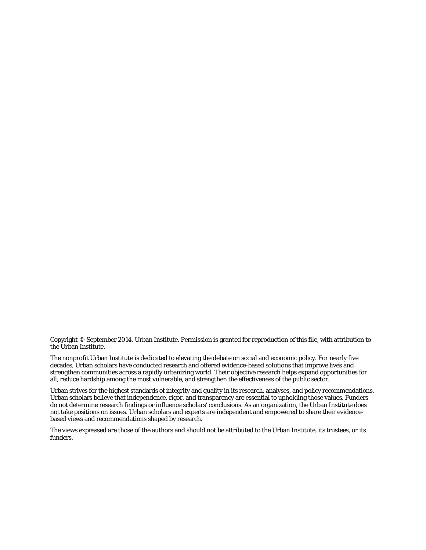Copyright © September 2014. Urban Institute. Permission is granted for reproduction of this file, with attribution to the Urban Institute.

The nonprofit Urban Institute is dedicated to elevating the debate on social and economic policy. For nearly five decades, Urban scholars have conducted research and offered evidence-based solutions that improve lives and strengthen communities across a rapidly urbanizing world. Their objective research helps expand opportunities for all, reduce hardship among the most vulnerable, and strengthen the effectiveness of the public sector.

Urban strives for the highest standards of integrity and quality in its research, analyses, and policy recommendations. Urban scholars believe that independence, rigor, and transparency are essential to upholding those values. Funders do not determine research findings or influence scholars' conclusions. As an organization, the Urban Institute does not take positions on issues. Urban scholars and experts are independent and empowered to share their evidencebased views and recommendations shaped by research.

The views expressed are those of the authors and should not be attributed to the Urban Institute, its trustees, or its funders.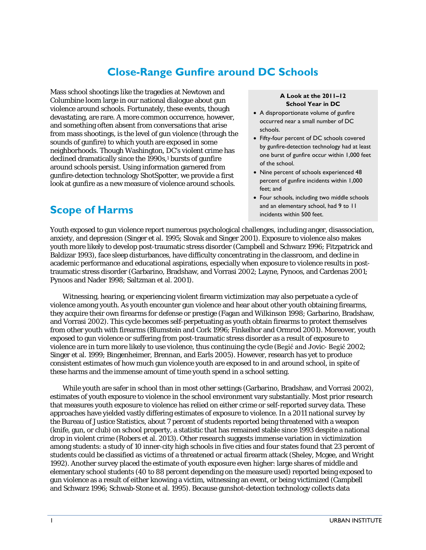## **Close-Range Gunfire around DC Schools**

Mass school shootings like the tragedies at Newtown and Columbine loom large in our national dialogue about gun violence around schools. Fortunately, these events, though devastating, are rare. A more common occurrence, however, and something often absent from conversations that arise from mass shootings, is the level of gun violence (through the sounds of gunfire) to which youth are exposed in some neighborhoods. Though Washington, DC's violent crime has declined dramatically since the 1990s,<sup>1</sup> bursts of gunfire around schools persist. Using information garnered from gunfire-detection technology ShotSpotter, we provide a first look at gunfire as a new measure of violence around schools.

### **Scope of Harms**

#### **A Look at the 2011–12 School Year in DC**

- A disproportionate volume of gunfire occurred near a small number of DC schools.
- Fifty-four percent of DC schools covered by gunfire-detection technology had at least one burst of gunfire occur within 1,000 feet of the school.
- Nine percent of schools experienced 48 percent of gunfire incidents within 1,000 feet; and
- Four schools, including two middle schools and an elementary school, had 9 to 11 incidents within 500 feet.

Youth exposed to gun violence report numerous psychological challenges, including anger, disassociation, anxiety, and depression (Singer et al. 1995; Slovak and Singer 2001). Exposure to violence also makes youth more likely to develop post-traumatic stress disorder (Campbell and Schwarz 1996; Fitzpatrick and Baldizar 1993), face sleep disturbances, have difficulty concentrating in the classroom, and decline in academic performance and educational aspirations, especially when exposure to violence results in posttraumatic stress disorder (Garbarino, Bradshaw, and Vorrasi 2002; Layne, Pynoos, and Cardenas 2001; Pynoos and Nader 1998; Saltzman et al. 2001).

Witnessing, hearing, or experiencing violent firearm victimization may also perpetuate a cycle of violence among youth. As youth encounter gun violence and hear about other youth obtaining firearms, they acquire their own firearms for defense or prestige (Fagan and Wilkinson 1998; Garbarino, Bradshaw, and Vorrasi 2002). This cycle becomes self-perpetuating as youth obtain firearms to protect themselves from other youth with firearms (Blumstein and Cork 1996; Finkelhor and Ormrod 2001). Moreover, youth exposed to gun violence or suffering from post-traumatic stress disorder as a result of exposure to violence are in turn more likely to use violence, thus continuing the cycle (Begić and Jovic- Begić 2002; Singer et al. 1999; Bingenheimer, Brennan, and Earls 2005). However, research has yet to produce consistent estimates of how much gun violence youth are exposed to in and around school, in spite of these harms and the immense amount of time youth spend in a school setting.

While youth are safer in school than in most other settings (Garbarino, Bradshaw, and Vorrasi 2002), estimates of youth exposure to violence in the school environment vary substantially. Most prior research that measures youth exposure to violence has relied on either crime or self-reported survey data. These approaches have yielded vastly differing estimates of exposure to violence. In a 2011 national survey by the Bureau of Justice Statistics, about 7 percent of students reported being threatened with a weapon (knife, gun, or club) on school property, a statistic that has remained stable since 1993 despite a national drop in violent crime (Robers et al. 2013). Other research suggests immense variation in victimization among students: a study of 10 inner-city high schools in five cities and four states found that 23 percent of students could be classified as victims of a threatened or actual firearm attack (Sheley, Mcgee, and Wright 1992). Another survey placed the estimate of youth exposure even higher: large shares of middle and elementary school students (40 to 88 percent depending on the measure used) reported being exposed to gun violence as a result of either knowing a victim, witnessing an event, or being victimized (Campbell and Schwarz 1996; Schwab-Stone et al. 1995). Because gunshot-detection technology collects data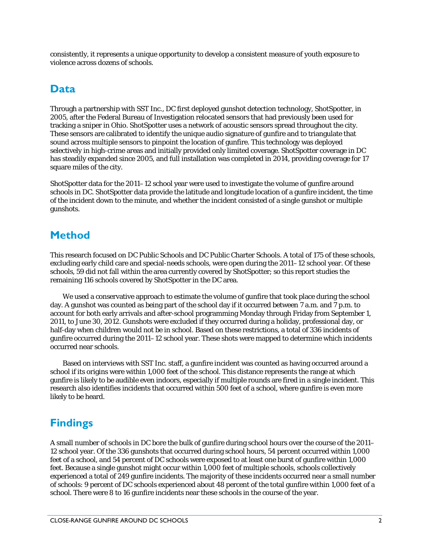consistently, it represents a unique opportunity to develop a consistent measure of youth exposure to violence across dozens of schools.

#### **Data**

Through a partnership with SST Inc., DC first deployed gunshot detection technology, ShotSpotter, in 2005, after the Federal Bureau of Investigation relocated sensors that had previously been used for tracking a sniper in Ohio. ShotSpotter uses a network of acoustic sensors spread throughout the city. These sensors are calibrated to identify the unique audio signature of gunfire and to triangulate that sound across multiple sensors to pinpoint the location of gunfire. This technology was deployed selectively in high-crime areas and initially provided only limited coverage. ShotSpotter coverage in DC has steadily expanded since 2005, and full installation was completed in 2014, providing coverage for 17 square miles of the city.

ShotSpotter data for the 2011–12 school year were used to investigate the volume of gunfire around schools in DC. ShotSpotter data provide the latitude and longitude location of a gunfire incident, the time of the incident down to the minute, and whether the incident consisted of a single gunshot or multiple gunshots.

#### **Method**

This research focused on DC Public Schools and DC Public Charter Schools. A total of 175 of these schools, excluding early child care and special-needs schools, were open during the 2011–12 school year. Of these schools, 59 did not fall within the area currently covered by ShotSpotter; so this report studies the remaining 116 schools covered by ShotSpotter in the DC area.

We used a conservative approach to estimate the volume of gunfire that took place during the school day. A gunshot was counted as being part of the school day if it occurred between 7 a.m. and 7 p.m. to account for both early arrivals and after-school programming Monday through Friday from September 1, 2011, to June 30, 2012. Gunshots were excluded if they occurred during a holiday, professional day, or half-day when children would not be in school. Based on these restrictions, a total of 336 incidents of gunfire occurred during the 2011–12 school year. These shots were mapped to determine which incidents occurred near schools.

Based on interviews with SST Inc. staff, a gunfire incident was counted as having occurred around a school if its origins were within 1,000 feet of the school. This distance represents the range at which gunfire is likely to be audible even indoors, especially if multiple rounds are fired in a single incident. This research also identifies incidents that occurred within 500 feet of a school, where gunfire is even more likely to be heard.

# **Findings**

A small number of schools in DC bore the bulk of gunfire during school hours over the course of the 2011– 12 school year. Of the 336 gunshots that occurred during school hours, 54 percent occurred within 1,000 feet of a school, and 54 percent of DC schools were exposed to at least one burst of gunfire within 1,000 feet. Because a single gunshot might occur within 1,000 feet of multiple schools, schools collectively experienced a total of 249 gunfire incidents. The majority of these incidents occurred near a small number of schools: 9 percent of DC schools experienced about 48 percent of the total gunfire within 1,000 feet of a school. There were 8 to 16 gunfire incidents near these schools in the course of the year.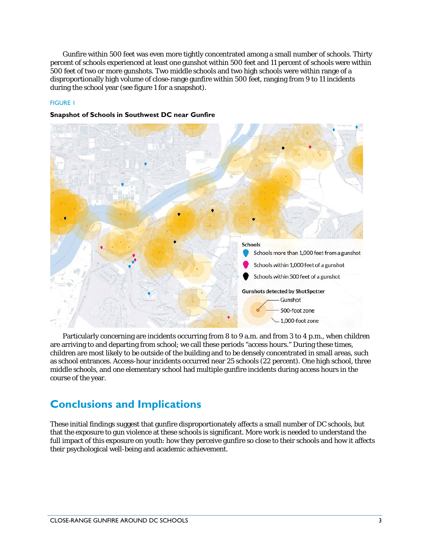Gunfire within 500 feet was even more tightly concentrated among a small number of schools. Thirty percent of schools experienced at least one gunshot within 500 feet and 11 percent of schools were within 500 feet of two or more gunshots. Two middle schools and two high schools were within range of a disproportionally high volume of close-range gunfire within 500 feet, ranging from 9 to 11 incidents during the school year (see figure 1 for a snapshot).

#### FIGURE 1



#### **Snapshot of Schools in Southwest DC near Gunfire**

Particularly concerning are incidents occurring from 8 to 9 a.m. and from 3 to 4 p.m., when children are arriving to and departing from school; we call these periods "access hours." During these times, children are most likely to be outside of the building and to be densely concentrated in small areas, such as school entrances. Access-hour incidents occurred near 25 schools (22 percent). One high school, three middle schools, and one elementary school had multiple gunfire incidents during access hours in the course of the year.

### **Conclusions and Implications**

These initial findings suggest that gunfire disproportionately affects a small number of DC schools, but that the exposure to gun violence at these schools is significant. More work is needed to understand the full impact of this exposure on youth: how they perceive gunfire so close to their schools and how it affects their psychological well-being and academic achievement.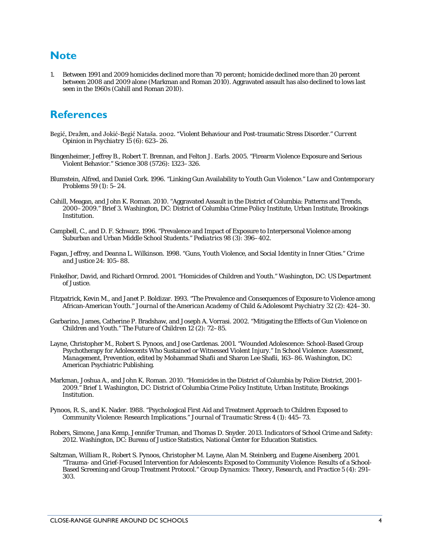#### **Note**

1. Between 1991 and 2009 homicides declined more than 70 percent; homicide declined more than 20 percent between 2008 and 2009 alone (Markman and Roman 2010). Aggravated assault has also declined to lows last seen in the 1960s (Cahill and Roman 2010).

### **References**

- Begić, Dražen, and Jokić-Begić Nataša. 2002. "Violent Behaviour and Post-traumatic Stress Disorder." *Current Opinion in Psychiatry* 15 (6): 623–26.
- Bingenheimer, Jeffrey B., Robert T. Brennan, and Felton J. Earls. 2005. "Firearm Violence Exposure and Serious Violent Behavior." *Science* 308 (5726): 1323–326.
- Blumstein, Alfred, and Daniel Cork. 1996. "Linking Gun Availability to Youth Gun Violence." *Law and Contemporary Problems* 59 (1): 5–24.
- Cahill, Meagan, and John K. Roman. 2010. "Aggravated Assault in the District of Columbia: Patterns and Trends, 2000–2009." Brief 3. Washington, DC: District of Columbia Crime Policy Institute, Urban Institute, Brookings Institution.
- Campbell, C., and D. F. Schwarz. 1996. "Prevalence and Impact of Exposure to Interpersonal Violence among Suburban and Urban Middle School Students." *Pediatrics* 98 (3): 396–402.
- Fagan, Jeffrey, and Deanna L. Wilkinson. 1998. "Guns, Youth Violence, and Social Identity in Inner Cities." *Crime and Justice* 24: 105–88.
- Finkelhor, David, and Richard Ormrod. 2001. "Homicides of Children and Youth." Washington, DC: US Department of Justice.
- Fitzpatrick, Kevin M., and Janet P. Boldizar. 1993. "The Prevalence and Consequences of Exposure to Violence among African-American Youth." *Journal of the American Academy of Child & Adolescent Psychiatry* 32 (2): 424–30.
- Garbarino, James, Catherine P. Bradshaw, and Joseph A. Vorrasi. 2002. "Mitigating the Effects of Gun Violence on Children and Youth." *The Future of Children* 12 (2): 72–85.
- Layne, Christopher M., Robert S. Pynoos, and Jose Cardenas. 2001. "Wounded Adolescence: School-Based Group Psychotherapy for Adolescents Who Sustained or Witnessed Violent Injury." In *School Violence: Assessment, Management, Prevention*, edited by Mohammad Shafii and Sharon Lee Shafii, 163–86. Washington, DC: American Psychiatric Publishing.
- Markman, Joshua A., and John K. Roman. 2010. "Homicides in the District of Columbia by Police District, 2001– 2009." Brief 1. Washington, DC: District of Columbia Crime Policy Institute, Urban Institute, Brookings Institution.
- Pynoos, R. S., and K. Nader. 1988. "Psychological First Aid and Treatment Approach to Children Exposed to Community Violence: Research Implications." *Journal of Traumatic Stress* 4 (1): 445–73.
- Robers, Simone, Jana Kemp, Jennifer Truman, and Thomas D. Snyder. 2013. *Indicators of School Crime and Safety: 2012*. Washington, DC: Bureau of Justice Statistics, National Center for Education Statistics.
- Saltzman, William R., Robert S. Pynoos, Christopher M. Layne, Alan M. Steinberg, and Eugene Aisenberg. 2001. "Trauma- and Grief-Focused Intervention for Adolescents Exposed to Community Violence: Results of a School-Based Screening and Group Treatment Protocol." *Group Dynamics: Theory, Research, and Practice* 5 (4): 291– 303.